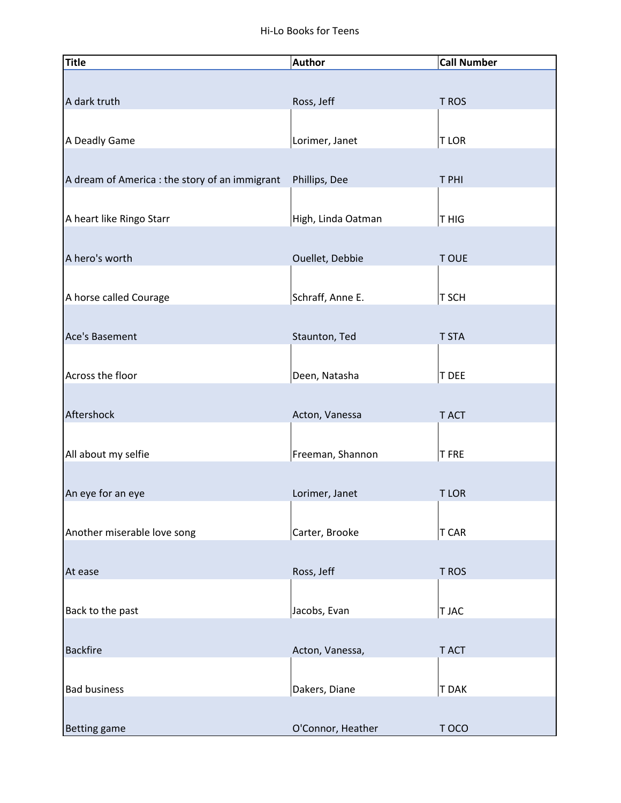| <b>Title</b>                                   | <b>Author</b>      | <b>Call Number</b> |
|------------------------------------------------|--------------------|--------------------|
|                                                |                    |                    |
| A dark truth                                   | Ross, Jeff         | T ROS              |
|                                                |                    |                    |
|                                                |                    |                    |
| A Deadly Game                                  | Lorimer, Janet     | <b>TLOR</b>        |
|                                                |                    |                    |
| A dream of America : the story of an immigrant | Phillips, Dee      | T PHI              |
|                                                |                    |                    |
| A heart like Ringo Starr                       | High, Linda Oatman | T HIG              |
|                                                |                    |                    |
| A hero's worth                                 | Ouellet, Debbie    | <b>TOUE</b>        |
|                                                |                    |                    |
|                                                |                    |                    |
| A horse called Courage                         | Schraff, Anne E.   | T SCH              |
|                                                |                    |                    |
| Ace's Basement                                 | Staunton, Ted      | <b>T STA</b>       |
|                                                |                    |                    |
| Across the floor                               | Deen, Natasha      | T DEE              |
|                                                |                    |                    |
| Aftershock                                     | Acton, Vanessa     | T ACT              |
|                                                |                    |                    |
| All about my selfie                            | Freeman, Shannon   | <b>TFRE</b>        |
|                                                |                    |                    |
|                                                |                    |                    |
| An eye for an eye                              | Lorimer, Janet     | <b>TLOR</b>        |
|                                                |                    |                    |
| Another miserable love song                    | Carter, Brooke     | T CAR              |
|                                                |                    |                    |
| At ease                                        | Ross, Jeff         | T ROS              |
|                                                |                    |                    |
| Back to the past                               | Jacobs, Evan       | T JAC              |
|                                                |                    |                    |
| <b>Backfire</b>                                | Acton, Vanessa,    | T ACT              |
|                                                |                    |                    |
|                                                |                    |                    |
| <b>Bad business</b>                            | Dakers, Diane      | T DAK              |
|                                                |                    |                    |
| <b>Betting game</b>                            | O'Connor, Heather  | T OCO              |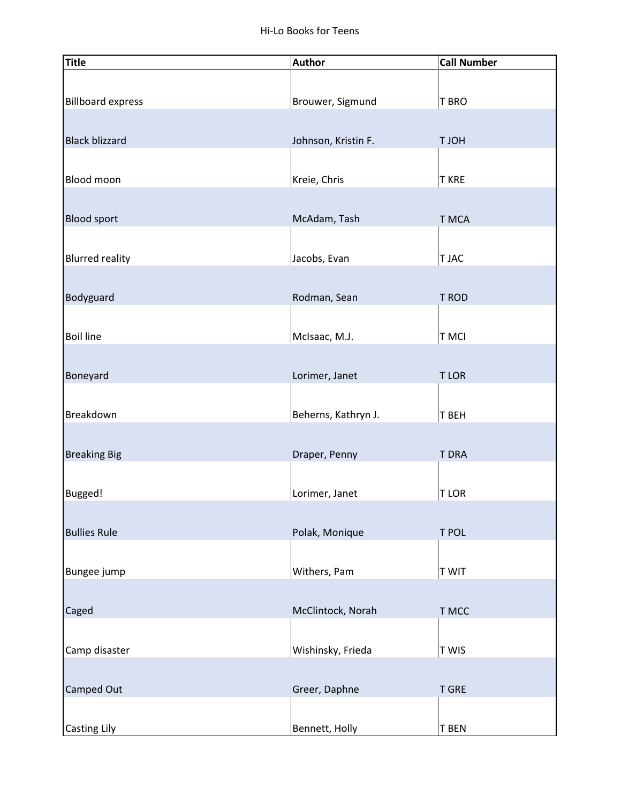| <b>Title</b>             | <b>Author</b>       | <b>Call Number</b> |
|--------------------------|---------------------|--------------------|
|                          |                     |                    |
| <b>Billboard express</b> | Brouwer, Sigmund    | T BRO              |
|                          |                     |                    |
| <b>Black blizzard</b>    | Johnson, Kristin F. | <b>HOLT</b>        |
|                          |                     |                    |
| <b>Blood moon</b>        | Kreie, Chris        | <b>T KRE</b>       |
|                          |                     |                    |
| <b>Blood sport</b>       | McAdam, Tash        | T MCA              |
|                          |                     |                    |
| <b>Blurred reality</b>   | Jacobs, Evan        | T JAC              |
|                          |                     |                    |
| Bodyguard                | Rodman, Sean        | T ROD              |
|                          |                     |                    |
| <b>Boil line</b>         | McIsaac, M.J.       | <b>T MCI</b>       |
|                          |                     |                    |
| Boneyard                 | Lorimer, Janet      | <b>TLOR</b>        |
|                          |                     |                    |
| Breakdown                | Beherns, Kathryn J. | T BEH              |
|                          |                     |                    |
| <b>Breaking Big</b>      | Draper, Penny       | <b>T DRA</b>       |
|                          |                     |                    |
| Bugged!                  | Lorimer, Janet      | <b>TLOR</b>        |
|                          |                     |                    |
| <b>Bullies Rule</b>      | Polak, Monique      | T POL              |
|                          |                     |                    |
| Bungee jump              | Withers, Pam        | <b>TWIT</b>        |
|                          |                     |                    |
| Caged                    | McClintock, Norah   | T MCC              |
|                          |                     |                    |
| Camp disaster            | Wishinsky, Frieda   | <b>TWIS</b>        |
|                          |                     |                    |
| Camped Out               | Greer, Daphne       | <b>T GRE</b>       |
|                          |                     |                    |
| <b>Casting Lily</b>      | Bennett, Holly      | <b>T BEN</b>       |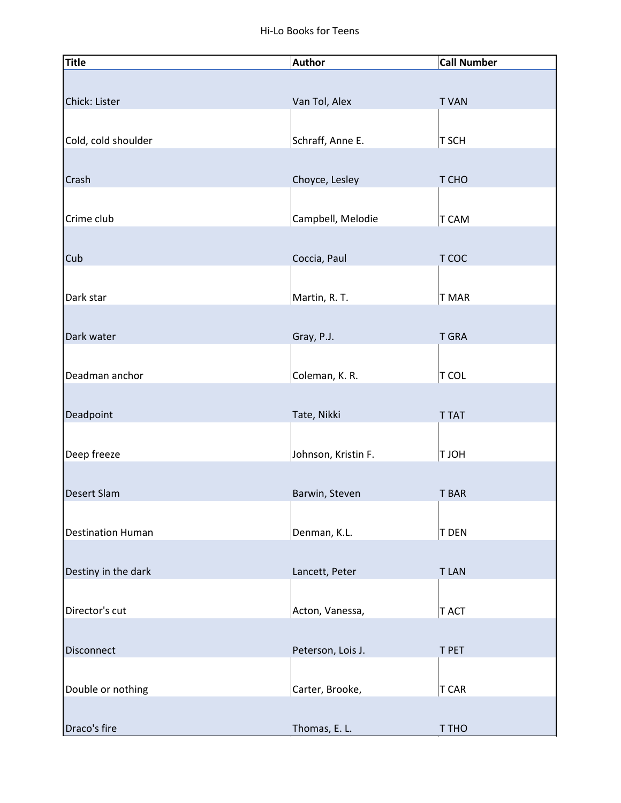| <b>Title</b>                      | <b>Author</b>                    | <b>Call Number</b> |
|-----------------------------------|----------------------------------|--------------------|
|                                   |                                  |                    |
| Chick: Lister                     | Van Tol, Alex                    | <b>TVAN</b>        |
|                                   |                                  |                    |
| Cold, cold shoulder               | Schraff, Anne E.                 | T SCH              |
|                                   |                                  |                    |
| Crash                             | Choyce, Lesley                   | T CHO              |
|                                   |                                  |                    |
| Crime club                        |                                  |                    |
|                                   | Campbell, Melodie                | T CAM              |
|                                   |                                  |                    |
| Cub                               | Coccia, Paul                     | T COC              |
|                                   |                                  |                    |
| Dark star                         | Martin, R. T.                    | T MAR              |
|                                   |                                  |                    |
| Dark water                        | Gray, P.J.                       | <b>T GRA</b>       |
|                                   |                                  |                    |
| Deadman anchor                    | Coleman, K. R.                   | <b>T COL</b>       |
|                                   |                                  |                    |
| Deadpoint                         | Tate, Nikki                      | <b>T TAT</b>       |
|                                   |                                  |                    |
| Deep freeze                       | Johnson, Kristin F.              | <b>HOLT</b>        |
|                                   |                                  |                    |
| Desert Slam                       | Barwin, Steven                   | <b>T BAR</b>       |
|                                   |                                  |                    |
| <b>Destination Human</b>          | Denman, K.L.                     | T DEN              |
|                                   |                                  |                    |
| Destiny in the dark               | Lancett, Peter                   | <b>TLAN</b>        |
|                                   |                                  |                    |
| Director's cut                    | Acton, Vanessa,                  | T ACT              |
|                                   |                                  |                    |
| Disconnect                        | Peterson, Lois J.                | T PET              |
|                                   |                                  |                    |
|                                   |                                  |                    |
|                                   |                                  |                    |
|                                   |                                  |                    |
| Double or nothing<br>Draco's fire | Carter, Brooke,<br>Thomas, E. L. | T CAR<br>T THO     |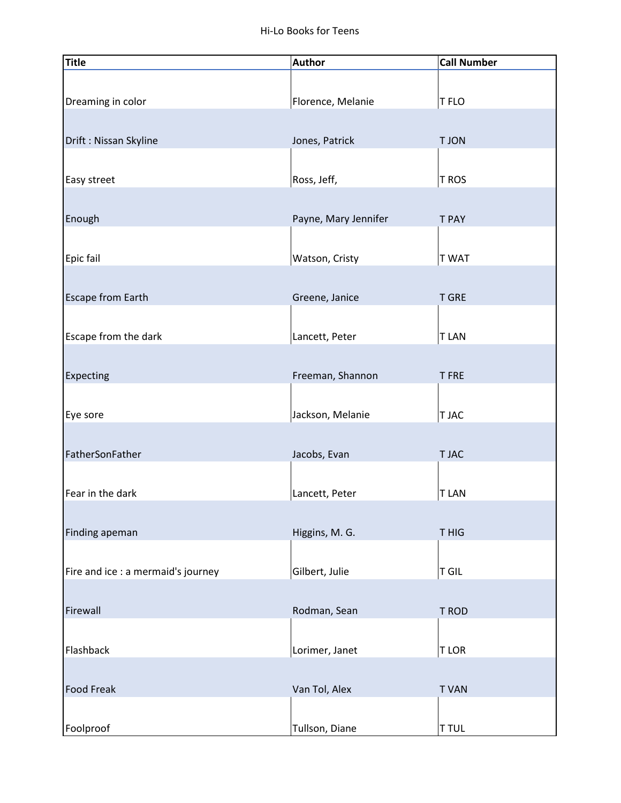| <b>Title</b>                       | <b>Author</b>        | <b>Call Number</b> |
|------------------------------------|----------------------|--------------------|
|                                    |                      |                    |
| Dreaming in color                  | Florence, Melanie    | T FLO              |
| Drift: Nissan Skyline              | Jones, Patrick       | <b>TJON</b>        |
|                                    |                      |                    |
| Easy street                        | Ross, Jeff,          | T ROS              |
|                                    |                      |                    |
| Enough                             | Payne, Mary Jennifer | <b>T PAY</b>       |
| Epic fail                          | Watson, Cristy       | <b>TWAT</b>        |
|                                    |                      |                    |
| Escape from Earth                  | Greene, Janice       | <b>T GRE</b>       |
|                                    |                      |                    |
| Escape from the dark               | Lancett, Peter       | <b>TLAN</b>        |
| Expecting                          | Freeman, Shannon     | <b>TFRE</b>        |
|                                    |                      |                    |
| Eye sore                           | Jackson, Melanie     | T JAC              |
|                                    |                      |                    |
| FatherSonFather                    | Jacobs, Evan         | T JAC              |
| Fear in the dark                   | Lancett, Peter       | <b>TLAN</b>        |
|                                    |                      |                    |
| Finding apeman                     | Higgins, M. G.       | T HIG              |
| Fire and ice : a mermaid's journey | Gilbert, Julie       |                    |
|                                    |                      | T GIL              |
| Firewall                           | Rodman, Sean         | T ROD              |
|                                    |                      |                    |
| Flashback                          | Lorimer, Janet       | <b>TLOR</b>        |
| <b>Food Freak</b>                  | Van Tol, Alex        | <b>TVAN</b>        |
|                                    |                      |                    |
| Foolproof                          | Tullson, Diane       | <b>T TUL</b>       |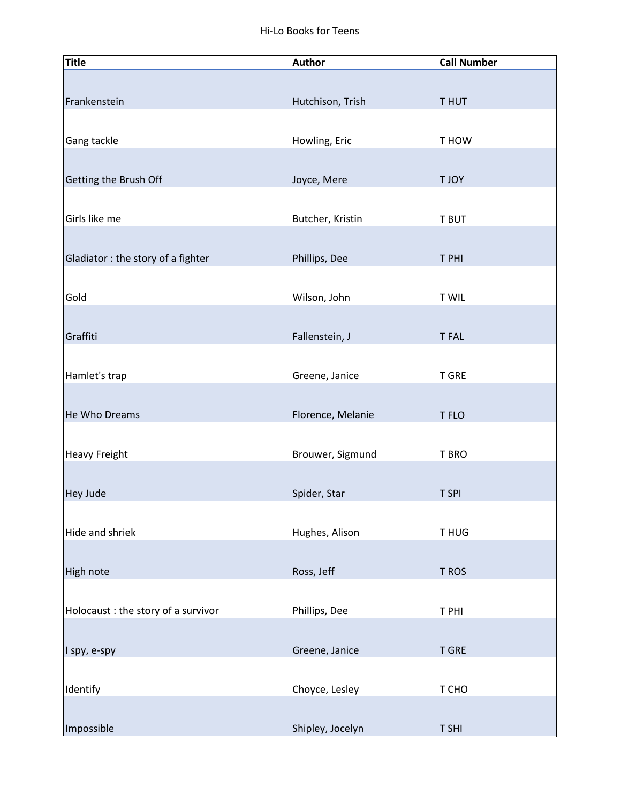| <b>Title</b>                        | <b>Author</b>     | <b>Call Number</b> |
|-------------------------------------|-------------------|--------------------|
|                                     |                   |                    |
| Frankenstein                        | Hutchison, Trish  | <b>THUT</b>        |
|                                     |                   |                    |
| Gang tackle                         | Howling, Eric     | T HOW              |
|                                     |                   |                    |
| Getting the Brush Off               | Joyce, Mere       | <b>TJOY</b>        |
|                                     |                   |                    |
| Girls like me                       | Butcher, Kristin  | <b>T BUT</b>       |
|                                     |                   |                    |
| Gladiator: the story of a fighter   | Phillips, Dee     | T PHI              |
|                                     |                   |                    |
| Gold                                | Wilson, John      | <b>T WIL</b>       |
|                                     |                   |                    |
| Graffiti                            | Fallenstein, J    | <b>TFAL</b>        |
|                                     |                   |                    |
| Hamlet's trap                       | Greene, Janice    | <b>T GRE</b>       |
|                                     |                   |                    |
| He Who Dreams                       | Florence, Melanie | T FLO              |
|                                     |                   |                    |
| Heavy Freight                       | Brouwer, Sigmund  | T BRO              |
|                                     |                   |                    |
| Hey Jude                            | Spider, Star      | T SPI              |
|                                     |                   |                    |
| Hide and shriek                     | Hughes, Alison    | T HUG              |
|                                     |                   |                    |
| High note                           | Ross, Jeff        | T ROS              |
|                                     |                   |                    |
|                                     |                   |                    |
| Holocaust : the story of a survivor | Phillips, Dee     | T PHI              |
|                                     |                   |                    |
| I spy, e-spy                        | Greene, Janice    | <b>T GRE</b>       |
|                                     |                   |                    |
| Identify                            | Choyce, Lesley    | T CHO              |
|                                     |                   |                    |
| Impossible                          | Shipley, Jocelyn  | T SHI              |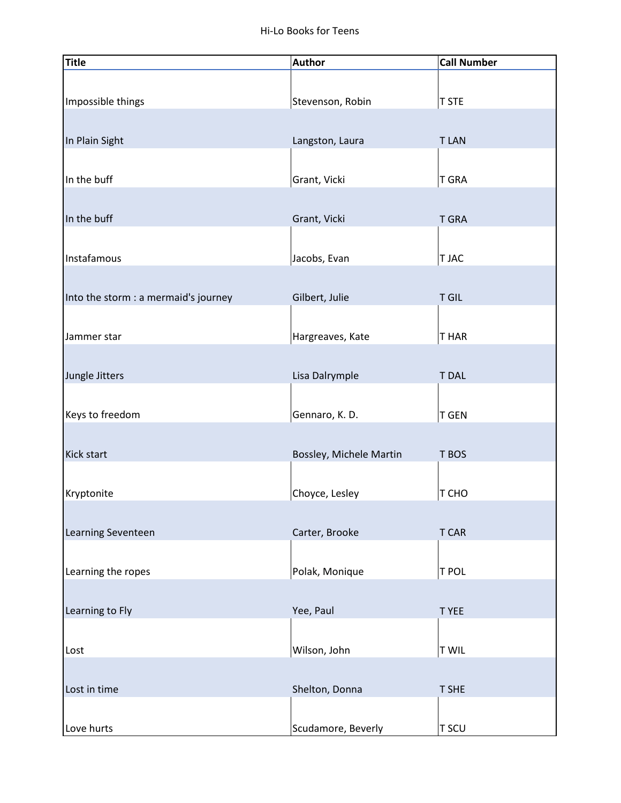| Title                                | <b>Author</b>           | <b>Call Number</b> |
|--------------------------------------|-------------------------|--------------------|
| Impossible things                    | Stevenson, Robin        | <b>T STE</b>       |
| In Plain Sight                       | Langston, Laura         | <b>TLAN</b>        |
| In the buff                          | Grant, Vicki            | <b>T GRA</b>       |
| In the buff                          | Grant, Vicki            | <b>T GRA</b>       |
| Instafamous                          | Jacobs, Evan            | T JAC              |
| Into the storm : a mermaid's journey | Gilbert, Julie          | T GIL              |
| Jammer star                          | Hargreaves, Kate        | T HAR              |
| Jungle Jitters                       | Lisa Dalrymple          | <b>T DAL</b>       |
| Keys to freedom                      | Gennaro, K. D.          | <b>T GEN</b>       |
| Kick start                           | Bossley, Michele Martin | T BOS              |
| Kryptonite                           | Choyce, Lesley          | T CHO              |
|                                      |                         |                    |
| Learning Seventeen                   | Carter, Brooke          | T CAR              |
| Learning the ropes                   | Polak, Monique          | T POL              |
| Learning to Fly                      | Yee, Paul               | T YEE              |
| Lost                                 | Wilson, John            | <b>T WIL</b>       |
| Lost in time                         | Shelton, Donna          | T SHE              |
| Love hurts                           | Scudamore, Beverly      | T SCU              |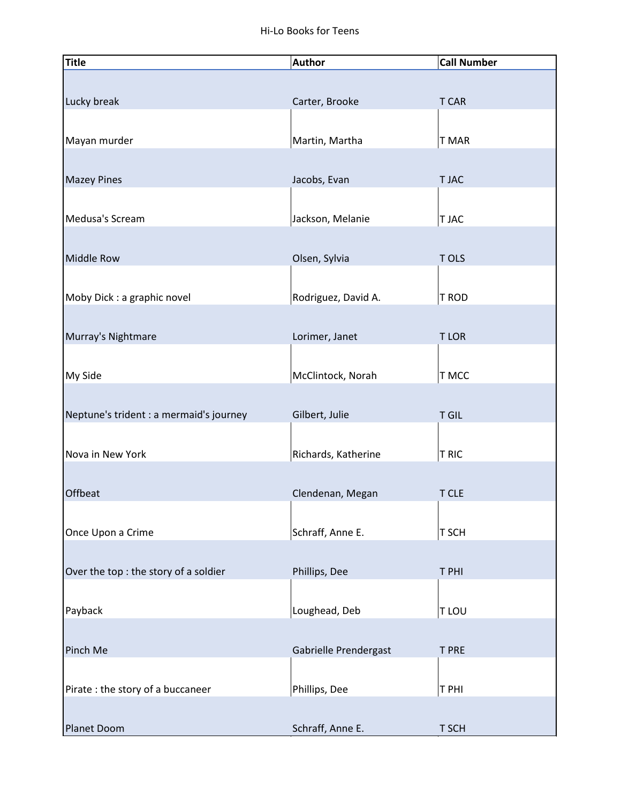| <b>Title</b>                            | <b>Author</b>         | <b>Call Number</b> |
|-----------------------------------------|-----------------------|--------------------|
|                                         |                       |                    |
| Lucky break                             | Carter, Brooke        | <b>T CAR</b>       |
|                                         |                       |                    |
| Mayan murder                            | Martin, Martha        | T MAR              |
|                                         |                       |                    |
|                                         |                       | T JAC              |
| <b>Mazey Pines</b>                      | Jacobs, Evan          |                    |
|                                         |                       |                    |
| Medusa's Scream                         | Jackson, Melanie      | T JAC              |
|                                         |                       |                    |
| <b>Middle Row</b>                       | Olsen, Sylvia         | T OLS              |
|                                         |                       |                    |
| Moby Dick : a graphic novel             | Rodriguez, David A.   | T ROD              |
|                                         |                       |                    |
| Murray's Nightmare                      | Lorimer, Janet        | <b>TLOR</b>        |
|                                         |                       |                    |
| My Side                                 | McClintock, Norah     | T MCC              |
|                                         |                       |                    |
| Neptune's trident : a mermaid's journey | Gilbert, Julie        | <b>T GIL</b>       |
|                                         |                       |                    |
| Nova in New York                        | Richards, Katherine   | T RIC              |
|                                         |                       |                    |
| Offbeat                                 | Clendenan, Megan      | T CLE              |
|                                         |                       |                    |
|                                         | Schraff, Anne E.      | T SCH              |
| Once Upon a Crime                       |                       |                    |
|                                         |                       |                    |
| Over the top : the story of a soldier   | Phillips, Dee         | T PHI              |
|                                         |                       |                    |
| Payback                                 | Loughead, Deb         | T LOU              |
|                                         |                       |                    |
| Pinch Me                                | Gabrielle Prendergast | <b>T PRE</b>       |
|                                         |                       |                    |
| Pirate : the story of a buccaneer       | Phillips, Dee         | T PHI              |
|                                         |                       |                    |
| Planet Doom                             | Schraff, Anne E.      | T SCH              |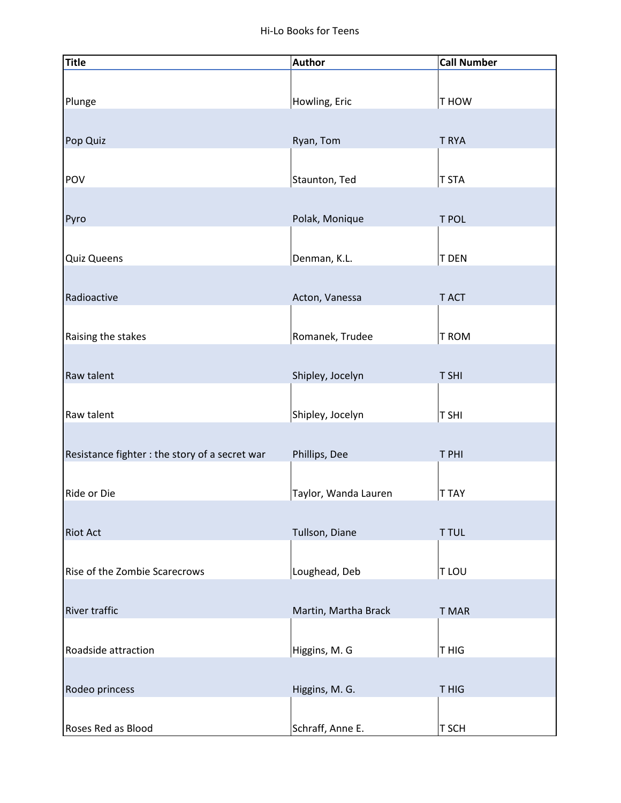| $\frac{1}{\text{Title}}$                       | <b>Author</b>        | <b>Call Number</b> |
|------------------------------------------------|----------------------|--------------------|
|                                                |                      |                    |
| Plunge                                         | Howling, Eric        | T HOW              |
|                                                |                      |                    |
| Pop Quiz                                       | Ryan, Tom            | T RYA              |
|                                                |                      |                    |
| POV                                            | Staunton, Ted        | T STA              |
|                                                |                      |                    |
| Pyro                                           | Polak, Monique       | T POL              |
|                                                |                      |                    |
| <b>Quiz Queens</b>                             | Denman, K.L.         | <b>T DEN</b>       |
| Radioactive                                    | Acton, Vanessa       | T ACT              |
|                                                |                      |                    |
| Raising the stakes                             | Romanek, Trudee      | T ROM              |
|                                                |                      |                    |
| Raw talent                                     | Shipley, Jocelyn     | T SHI              |
|                                                |                      |                    |
| Raw talent                                     | Shipley, Jocelyn     | T SHI              |
|                                                |                      |                    |
| Resistance fighter : the story of a secret war | Phillips, Dee        | T PHI              |
|                                                |                      |                    |
| Ride or Die                                    | Taylor, Wanda Lauren | <b>T TAY</b>       |
|                                                |                      |                    |
| Riot Act                                       | Tullson, Diane       | <b>T TUL</b>       |
| Rise of the Zombie Scarecrows                  | Loughead, Deb        | T LOU              |
|                                                |                      |                    |
| <b>River traffic</b>                           | Martin, Martha Brack | T MAR              |
|                                                |                      |                    |
| Roadside attraction                            | Higgins, M. G        | T HIG              |
|                                                |                      |                    |
| Rodeo princess                                 | Higgins, M. G.       | T HIG              |
|                                                |                      |                    |
| Roses Red as Blood                             | Schraff, Anne E.     | T SCH              |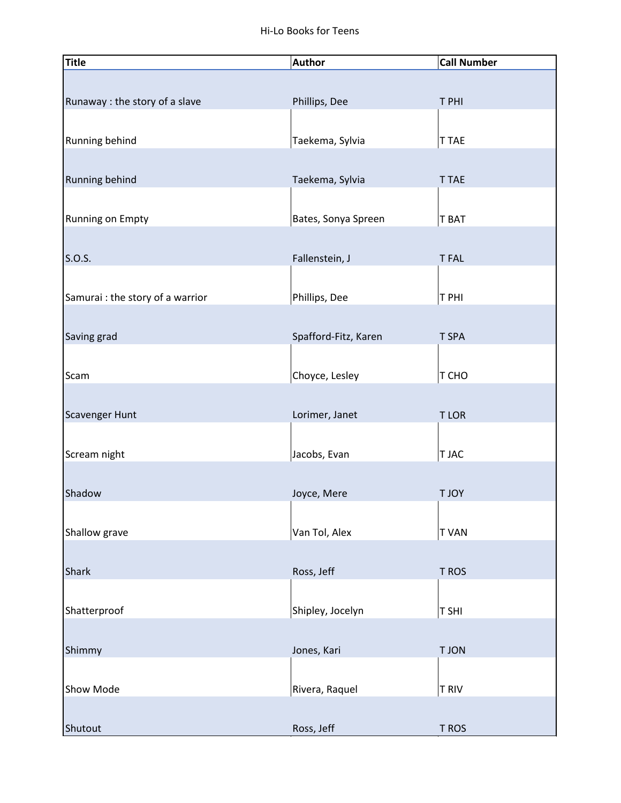| <b>Title</b>                     | <b>Author</b>        | <b>Call Number</b> |
|----------------------------------|----------------------|--------------------|
|                                  |                      |                    |
| Runaway : the story of a slave   | Phillips, Dee        | T PHI              |
|                                  |                      |                    |
| Running behind                   | Taekema, Sylvia      | T TAE              |
|                                  |                      |                    |
| Running behind                   | Taekema, Sylvia      | <b>T TAE</b>       |
|                                  |                      |                    |
| Running on Empty                 | Bates, Sonya Spreen  | T BAT              |
|                                  |                      |                    |
| S.O.S.                           | Fallenstein, J       | <b>TFAL</b>        |
|                                  |                      |                    |
| Samurai : the story of a warrior | Phillips, Dee        | T PHI              |
|                                  |                      |                    |
| Saving grad                      | Spafford-Fitz, Karen | T SPA              |
|                                  |                      |                    |
| Scam                             | Choyce, Lesley       | T CHO              |
|                                  |                      |                    |
| <b>Scavenger Hunt</b>            | Lorimer, Janet       | <b>TLOR</b>        |
|                                  |                      |                    |
| Scream night                     | Jacobs, Evan         | T JAC              |
|                                  |                      |                    |
| Shadow                           | Joyce, Mere          | <b>TJOY</b>        |
|                                  |                      |                    |
| Shallow grave                    | Van Tol, Alex        | <b>TVAN</b>        |
|                                  |                      |                    |
| <b>Shark</b>                     | Ross, Jeff           | T ROS              |
|                                  |                      |                    |
| Shatterproof                     | Shipley, Jocelyn     | T SHI              |
|                                  |                      |                    |
| Shimmy                           | Jones, Kari          | <b>TJON</b>        |
|                                  |                      |                    |
| Show Mode                        | Rivera, Raquel       | <b>T RIV</b>       |
|                                  |                      |                    |
| Shutout                          | Ross, Jeff           | T ROS              |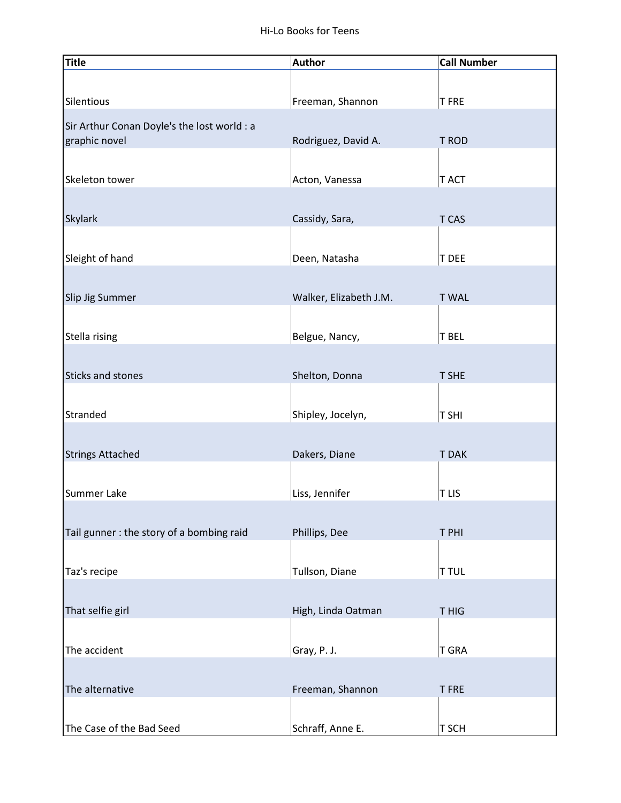| Title                                                        | <b>Author</b>          | <b>Call Number</b> |
|--------------------------------------------------------------|------------------------|--------------------|
|                                                              |                        |                    |
| Silentious                                                   | Freeman, Shannon       | <b>TFRE</b>        |
|                                                              |                        |                    |
| Sir Arthur Conan Doyle's the lost world : a<br>graphic novel | Rodriguez, David A.    | T ROD              |
|                                                              |                        |                    |
| Skeleton tower                                               | Acton, Vanessa         | T ACT              |
|                                                              |                        |                    |
|                                                              |                        |                    |
| <b>Skylark</b>                                               | Cassidy, Sara,         | T CAS              |
|                                                              |                        |                    |
| Sleight of hand                                              | Deen, Natasha          | T DEE              |
|                                                              |                        |                    |
| Slip Jig Summer                                              | Walker, Elizabeth J.M. | <b>TWAL</b>        |
|                                                              |                        |                    |
| Stella rising                                                | Belgue, Nancy,         | T BEL              |
|                                                              |                        |                    |
| <b>Sticks and stones</b>                                     | Shelton, Donna         | <b>T SHE</b>       |
|                                                              |                        |                    |
| Stranded                                                     | Shipley, Jocelyn,      | T SHI              |
|                                                              |                        |                    |
| <b>Strings Attached</b>                                      | Dakers, Diane          | <b>TDAK</b>        |
|                                                              |                        |                    |
| Summer Lake                                                  | Liss, Jennifer         | <b>TLIS</b>        |
|                                                              |                        |                    |
|                                                              |                        |                    |
| Tail gunner : the story of a bombing raid                    | Phillips, Dee          | T PHI              |
|                                                              |                        |                    |
| Taz's recipe                                                 | Tullson, Diane         | <b>T TUL</b>       |
|                                                              |                        |                    |
| That selfie girl                                             | High, Linda Oatman     | T HIG              |
|                                                              |                        |                    |
| The accident                                                 | Gray, P. J.            | <b>T GRA</b>       |
|                                                              |                        |                    |
| The alternative                                              | Freeman, Shannon       | <b>TFRE</b>        |
|                                                              |                        |                    |
| The Case of the Bad Seed                                     | Schraff, Anne E.       | T SCH              |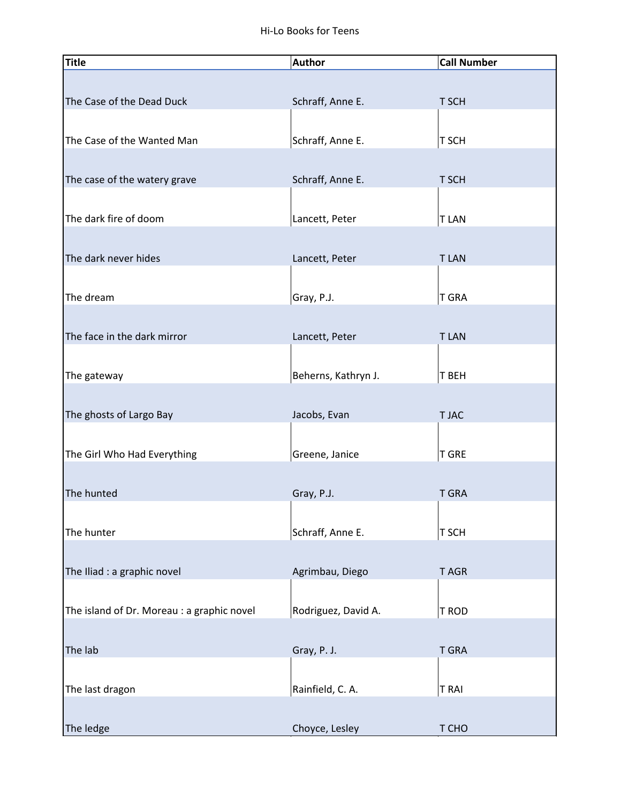| <b>Title</b>                               | <b>Author</b>       | <b>Call Number</b> |
|--------------------------------------------|---------------------|--------------------|
|                                            |                     |                    |
| The Case of the Dead Duck                  | Schraff, Anne E.    | T SCH              |
|                                            |                     |                    |
| The Case of the Wanted Man                 | Schraff, Anne E.    | T SCH              |
|                                            |                     |                    |
| The case of the watery grave               | Schraff, Anne E.    | T SCH              |
|                                            |                     |                    |
| The dark fire of doom                      | Lancett, Peter      | <b>TLAN</b>        |
|                                            |                     |                    |
| The dark never hides                       | Lancett, Peter      | <b>TLAN</b>        |
|                                            |                     |                    |
| The dream                                  | Gray, P.J.          | T GRA              |
|                                            |                     |                    |
| The face in the dark mirror                | Lancett, Peter      | <b>TLAN</b>        |
|                                            |                     |                    |
| The gateway                                | Beherns, Kathryn J. | T BEH              |
|                                            |                     |                    |
| The ghosts of Largo Bay                    | Jacobs, Evan        | T JAC              |
|                                            |                     |                    |
| The Girl Who Had Everything                | Greene, Janice      | <b>T GRE</b>       |
|                                            |                     |                    |
| The hunted                                 | Gray, P.J.          | <b>T GRA</b>       |
|                                            |                     |                    |
| The hunter                                 | Schraff, Anne E.    | T SCH              |
|                                            |                     |                    |
| The Iliad : a graphic novel                | Agrimbau, Diego     | T AGR              |
|                                            |                     |                    |
| The island of Dr. Moreau : a graphic novel | Rodriguez, David A. | T ROD              |
|                                            |                     |                    |
| The lab                                    | Gray, P. J.         | <b>T GRA</b>       |
|                                            |                     |                    |
| The last dragon                            | Rainfield, C. A.    | <b>TRAI</b>        |
|                                            |                     |                    |
| The ledge                                  | Choyce, Lesley      | T CHO              |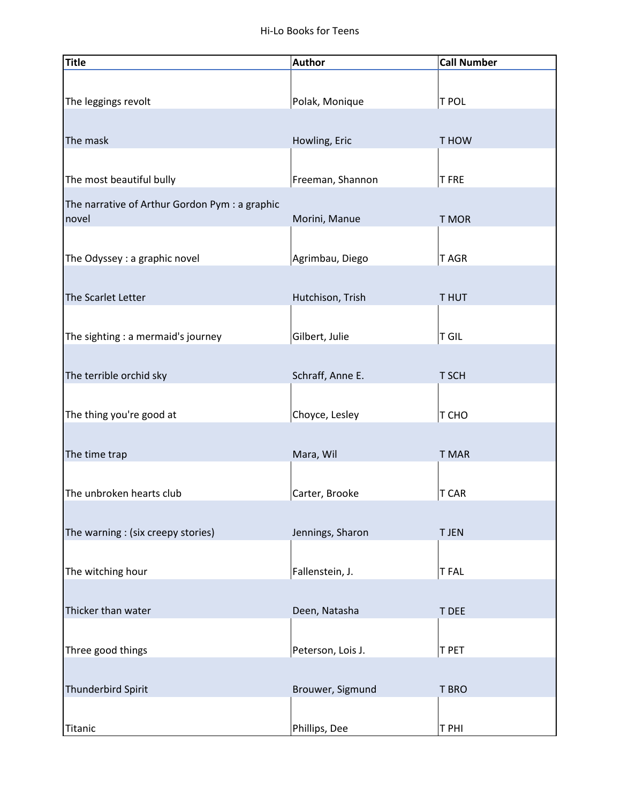| <b>Title</b>                                            | <b>Author</b>     | <b>Call Number</b> |
|---------------------------------------------------------|-------------------|--------------------|
|                                                         |                   |                    |
| The leggings revolt                                     | Polak, Monique    | T POL              |
|                                                         |                   |                    |
| The mask                                                | Howling, Eric     | T HOW              |
|                                                         |                   |                    |
| The most beautiful bully                                | Freeman, Shannon  | <b>TFRE</b>        |
| The narrative of Arthur Gordon Pym : a graphic<br>novel | Morini, Manue     | T MOR              |
|                                                         |                   |                    |
| The Odyssey : a graphic novel                           | Agrimbau, Diego   | T AGR              |
|                                                         |                   |                    |
| The Scarlet Letter                                      | Hutchison, Trish  | T HUT              |
|                                                         |                   |                    |
| The sighting : a mermaid's journey                      | Gilbert, Julie    | T GIL              |
|                                                         |                   |                    |
| The terrible orchid sky                                 | Schraff, Anne E.  | T SCH              |
| The thing you're good at                                | Choyce, Lesley    | T CHO              |
|                                                         |                   |                    |
| The time trap                                           | Mara, Wil         | <b>T MAR</b>       |
|                                                         |                   |                    |
| The unbroken hearts club                                | Carter, Brooke    | T CAR              |
|                                                         |                   |                    |
| The warning : (six creepy stories)                      | Jennings, Sharon  | <b>T JEN</b>       |
|                                                         |                   |                    |
| The witching hour                                       | Fallenstein, J.   | <b>TFAL</b>        |
|                                                         |                   |                    |
| Thicker than water                                      | Deen, Natasha     | T DEE              |
|                                                         |                   |                    |
| Three good things                                       | Peterson, Lois J. | T PET              |
| Thunderbird Spirit                                      | Brouwer, Sigmund  | T BRO              |
|                                                         |                   |                    |
| Titanic                                                 | Phillips, Dee     | T PHI              |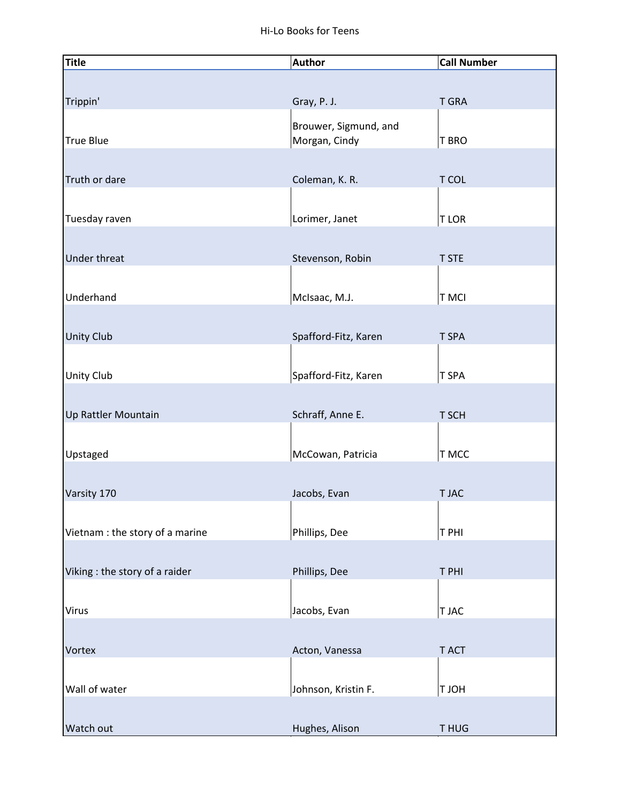| <b>Title</b>                    | <b>Author</b>                          | <b>Call Number</b> |
|---------------------------------|----------------------------------------|--------------------|
|                                 |                                        |                    |
| Trippin'                        | Gray, P. J.                            | <b>T GRA</b>       |
|                                 |                                        |                    |
| <b>True Blue</b>                | Brouwer, Sigmund, and<br>Morgan, Cindy | T BRO              |
|                                 |                                        |                    |
|                                 |                                        |                    |
| Truth or dare                   | Coleman, K. R.                         | T COL              |
|                                 |                                        |                    |
| Tuesday raven                   | Lorimer, Janet                         | <b>TLOR</b>        |
|                                 |                                        |                    |
| Under threat                    | Stevenson, Robin                       | <b>T STE</b>       |
|                                 |                                        |                    |
| Underhand                       | McIsaac, M.J.                          | <b>TMCI</b>        |
|                                 |                                        |                    |
| <b>Unity Club</b>               | Spafford-Fitz, Karen                   | T SPA              |
|                                 |                                        |                    |
| Unity Club                      | Spafford-Fitz, Karen                   | T SPA              |
|                                 |                                        |                    |
|                                 | Schraff, Anne E.                       | T SCH              |
| Up Rattler Mountain             |                                        |                    |
|                                 |                                        |                    |
| Upstaged                        | McCowan, Patricia                      | T MCC              |
|                                 |                                        |                    |
| Varsity 170                     | Jacobs, Evan                           | <b>TJAC</b>        |
|                                 |                                        |                    |
| Vietnam : the story of a marine | Phillips, Dee                          | T PHI              |
|                                 |                                        |                    |
| Viking : the story of a raider  | Phillips, Dee                          | T PHI              |
|                                 |                                        |                    |
| Virus                           | Jacobs, Evan                           | T JAC              |
|                                 |                                        |                    |
| Vortex                          | Acton, Vanessa                         | T ACT              |
|                                 |                                        |                    |
| Wall of water                   | Johnson, Kristin F.                    | HOLT               |
|                                 |                                        |                    |
|                                 |                                        |                    |
| Watch out                       | Hughes, Alison                         | T HUG              |